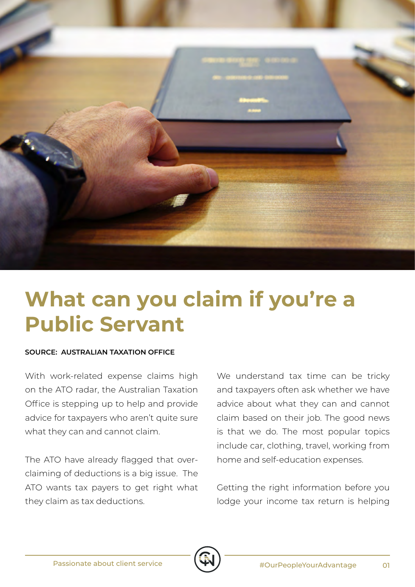

## **What can you claim if you're a Public Servant**

## **SOURCE: AUSTRALIAN TAXATION OFFICE**

With work-related expense claims high on the ATO radar, the Australian Taxation Office is stepping up to help and provide advice for taxpayers who aren't quite sure what they can and cannot claim.

The ATO have already flagged that overclaiming of deductions is a big issue. The ATO wants tax payers to get right what they claim as tax deductions.

We understand tax time can be tricky and taxpayers often ask whether we have advice about what they can and cannot claim based on their job. The good news is that we do. The most popular topics include car, clothing, travel, working from home and self-education expenses.

Getting the right information before you lodge your income tax return is helping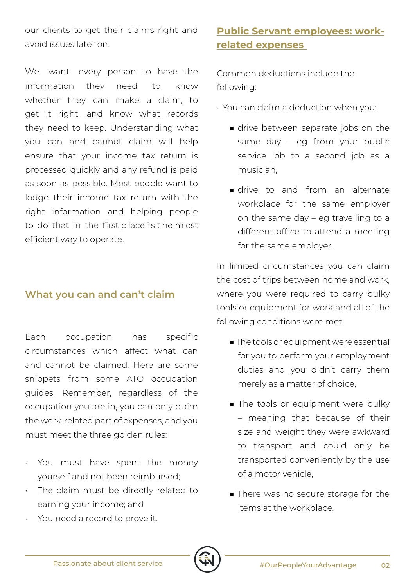our clients to get their claims right and avoid issues later on.

We want every person to have the information they need to know whether they can make a claim, to get it right, and know what records they need to keep. Understanding what you can and cannot claim will help ensure that your income tax return is processed quickly and any refund is paid as soon as possible. Most people want to lodge their income tax return with the right information and helping people to do that in the first p lace i s t he m ost efficient way to operate.

## **What you can and can't claim**

Each occupation has specific circumstances which affect what can and cannot be claimed. Here are some snippets from some ATO occupation guides. Remember, regardless of the occupation you are in, you can only claim the work-related part of expenses, and you must meet the three golden rules:

- You must have spent the money yourself and not been reimbursed;
- The claim must be directly related to earning your income; and
- You need a record to prove it.

## **Public Servant employees: workrelated expenses**

Common deductions include the following:

- You can claim a deduction when you:
	- drive between separate jobs on the same day – eg from your public service job to a second job as a musician,
	- drive to and from an alternate workplace for the same employer on the same day – eg travelling to a different office to attend a meeting for the same employer.

In limited circumstances you can claim the cost of trips between home and work, where you were required to carry bulky tools or equipment for work and all of the following conditions were met:

- The tools or equipment were essential for you to perform your employment duties and you didn't carry them merely as a matter of choice,
- The tools or equipment were bulky – meaning that because of their size and weight they were awkward to transport and could only be transported conveniently by the use of a motor vehicle,
- There was no secure storage for the items at the workplace.